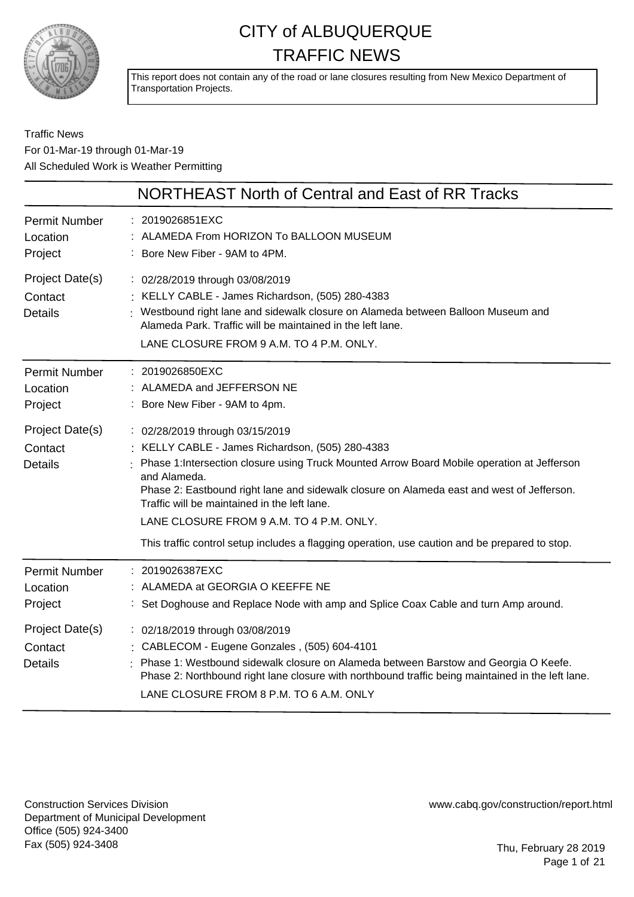

This report does not contain any of the road or lane closures resulting from New Mexico Department of Transportation Projects.

### Traffic News For 01-Mar-19 through 01-Mar-19 All Scheduled Work is Weather Permitting

|                                              | NORTHEAST North of Central and East of RR Tracks                                                                                                                                                                                                                                                                                                                                                                                                                                              |
|----------------------------------------------|-----------------------------------------------------------------------------------------------------------------------------------------------------------------------------------------------------------------------------------------------------------------------------------------------------------------------------------------------------------------------------------------------------------------------------------------------------------------------------------------------|
| <b>Permit Number</b><br>Location<br>Project  | : 2019026851EXC<br>: ALAMEDA From HORIZON To BALLOON MUSEUM<br>: Bore New Fiber - 9AM to 4PM.                                                                                                                                                                                                                                                                                                                                                                                                 |
| Project Date(s)<br>Contact<br><b>Details</b> | : 02/28/2019 through 03/08/2019<br>: KELLY CABLE - James Richardson, (505) 280-4383<br>Westbound right lane and sidewalk closure on Alameda between Balloon Museum and<br>Alameda Park. Traffic will be maintained in the left lane.<br>LANE CLOSURE FROM 9 A.M. TO 4 P.M. ONLY.                                                                                                                                                                                                              |
| <b>Permit Number</b><br>Location<br>Project  | : 2019026850EXC<br>: ALAMEDA and JEFFERSON NE<br>Bore New Fiber - 9AM to 4pm.                                                                                                                                                                                                                                                                                                                                                                                                                 |
| Project Date(s)<br>Contact<br><b>Details</b> | : 02/28/2019 through 03/15/2019<br>: KELLY CABLE - James Richardson, (505) 280-4383<br>Phase 1: Intersection closure using Truck Mounted Arrow Board Mobile operation at Jefferson<br>and Alameda.<br>Phase 2: Eastbound right lane and sidewalk closure on Alameda east and west of Jefferson.<br>Traffic will be maintained in the left lane.<br>LANE CLOSURE FROM 9 A.M. TO 4 P.M. ONLY.<br>This traffic control setup includes a flagging operation, use caution and be prepared to stop. |
| <b>Permit Number</b><br>Location<br>Project  | : 2019026387EXC<br>ALAMEDA at GEORGIA O KEEFFE NE<br>: Set Doghouse and Replace Node with amp and Splice Coax Cable and turn Amp around.                                                                                                                                                                                                                                                                                                                                                      |
| Project Date(s)<br>Contact<br><b>Details</b> | : 02/18/2019 through 03/08/2019<br>: CABLECOM - Eugene Gonzales, (505) 604-4101<br>Phase 1: Westbound sidewalk closure on Alameda between Barstow and Georgia O Keefe.<br>Phase 2: Northbound right lane closure with northbound traffic being maintained in the left lane.<br>LANE CLOSURE FROM 8 P.M. TO 6 A.M. ONLY                                                                                                                                                                        |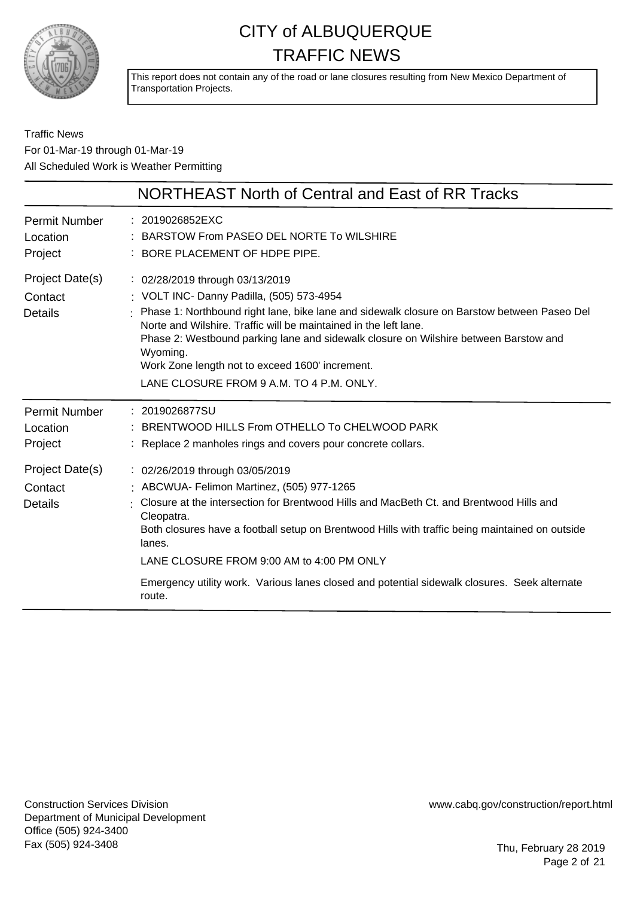

This report does not contain any of the road or lane closures resulting from New Mexico Department of Transportation Projects.

### Traffic News For 01-Mar-19 through 01-Mar-19 All Scheduled Work is Weather Permitting

|                                              | NORTHEAST North of Central and East of RR Tracks                                                                                                                                                                                                                                                                                                                                                                                                           |
|----------------------------------------------|------------------------------------------------------------------------------------------------------------------------------------------------------------------------------------------------------------------------------------------------------------------------------------------------------------------------------------------------------------------------------------------------------------------------------------------------------------|
| <b>Permit Number</b><br>Location<br>Project  | : 2019026852EXC<br>BARSTOW From PASEO DEL NORTE To WILSHIRE<br>: BORE PLACEMENT OF HDPE PIPE.                                                                                                                                                                                                                                                                                                                                                              |
| Project Date(s)<br>Contact<br><b>Details</b> | : 02/28/2019 through 03/13/2019<br>: VOLT INC- Danny Padilla, (505) 573-4954<br>: Phase 1: Northbound right lane, bike lane and sidewalk closure on Barstow between Paseo Del<br>Norte and Wilshire. Traffic will be maintained in the left lane.<br>Phase 2: Westbound parking lane and sidewalk closure on Wilshire between Barstow and<br>Wyoming.<br>Work Zone length not to exceed 1600' increment.<br>LANE CLOSURE FROM 9 A.M. TO 4 P.M. ONLY.       |
| <b>Permit Number</b><br>Location<br>Project  | : 2019026877SU<br>: BRENTWOOD HILLS From OTHELLO To CHELWOOD PARK<br>Replace 2 manholes rings and covers pour concrete collars.                                                                                                                                                                                                                                                                                                                            |
| Project Date(s)<br>Contact<br>Details        | : 02/26/2019 through 03/05/2019<br>: ABCWUA- Felimon Martinez, (505) 977-1265<br>Closure at the intersection for Brentwood Hills and MacBeth Ct. and Brentwood Hills and<br>Cleopatra.<br>Both closures have a football setup on Brentwood Hills with traffic being maintained on outside<br>lanes.<br>LANE CLOSURE FROM 9:00 AM to 4:00 PM ONLY<br>Emergency utility work. Various lanes closed and potential sidewalk closures. Seek alternate<br>route. |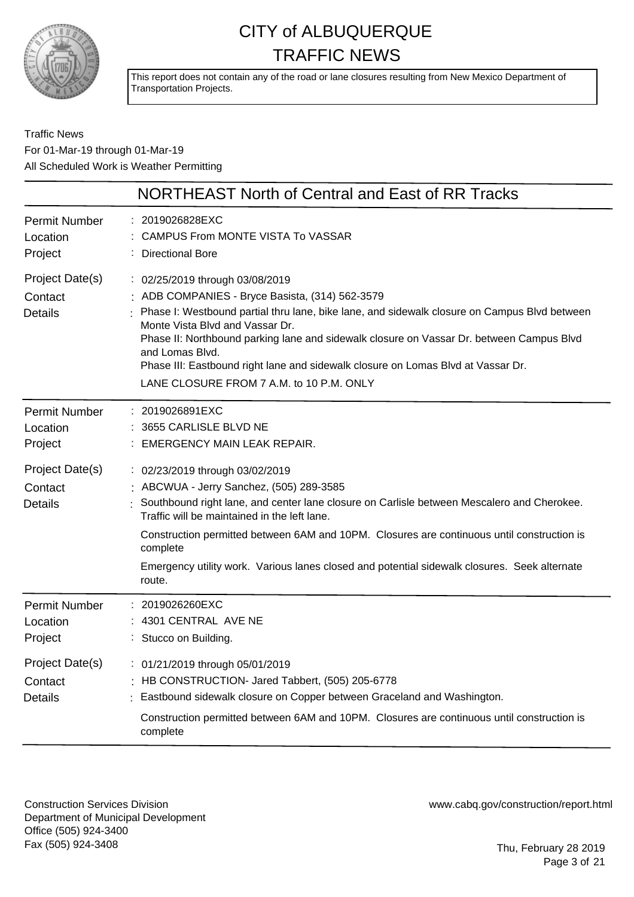

This report does not contain any of the road or lane closures resulting from New Mexico Department of Transportation Projects.

### Traffic News For 01-Mar-19 through 01-Mar-19 All Scheduled Work is Weather Permitting

|                                              | NORTHEAST North of Central and East of RR Tracks                                                                                                                                                                                                                                                                                                                                                                                                                       |
|----------------------------------------------|------------------------------------------------------------------------------------------------------------------------------------------------------------------------------------------------------------------------------------------------------------------------------------------------------------------------------------------------------------------------------------------------------------------------------------------------------------------------|
| <b>Permit Number</b><br>Location<br>Project  | : 2019026828EXC<br>CAMPUS From MONTE VISTA To VASSAR<br><b>Directional Bore</b>                                                                                                                                                                                                                                                                                                                                                                                        |
| Project Date(s)<br>Contact<br><b>Details</b> | : 02/25/2019 through 03/08/2019<br>: ADB COMPANIES - Bryce Basista, (314) 562-3579<br>: Phase I: Westbound partial thru lane, bike lane, and sidewalk closure on Campus Blvd between<br>Monte Vista Blvd and Vassar Dr.<br>Phase II: Northbound parking lane and sidewalk closure on Vassar Dr. between Campus Blvd<br>and Lomas Blvd.<br>Phase III: Eastbound right lane and sidewalk closure on Lomas Blvd at Vassar Dr.<br>LANE CLOSURE FROM 7 A.M. to 10 P.M. ONLY |
| <b>Permit Number</b><br>Location<br>Project  | : 2019026891EXC<br>3655 CARLISLE BLVD NE<br>EMERGENCY MAIN LEAK REPAIR.                                                                                                                                                                                                                                                                                                                                                                                                |
| Project Date(s)<br>Contact<br><b>Details</b> | : 02/23/2019 through 03/02/2019<br>: ABCWUA - Jerry Sanchez, (505) 289-3585<br>: Southbound right lane, and center lane closure on Carlisle between Mescalero and Cherokee.<br>Traffic will be maintained in the left lane.<br>Construction permitted between 6AM and 10PM. Closures are continuous until construction is<br>complete<br>Emergency utility work. Various lanes closed and potential sidewalk closures. Seek alternate<br>route.                        |
| <b>Permit Number</b><br>Location<br>Project  | : 2019026260EXC<br>: 4301 CENTRAL AVE NE<br>: Stucco on Building.                                                                                                                                                                                                                                                                                                                                                                                                      |
| Project Date(s)<br>Contact<br><b>Details</b> | : 01/21/2019 through 05/01/2019<br>: HB CONSTRUCTION- Jared Tabbert, (505) 205-6778<br>Eastbound sidewalk closure on Copper between Graceland and Washington.<br>Construction permitted between 6AM and 10PM. Closures are continuous until construction is<br>complete                                                                                                                                                                                                |

Construction Services Division Department of Municipal Development Office (505) 924-3400 Fax (505) 924-3408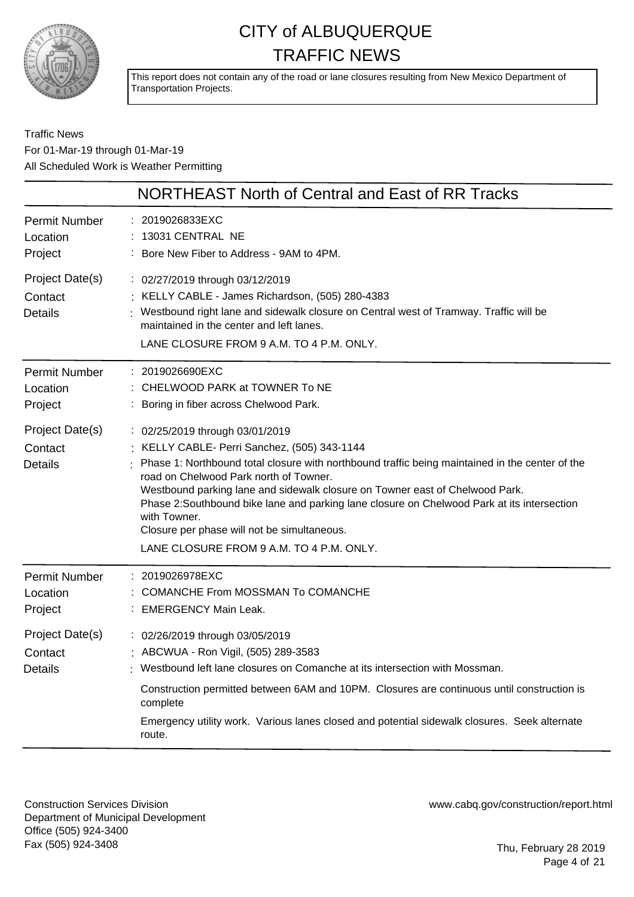

This report does not contain any of the road or lane closures resulting from New Mexico Department of Transportation Projects.

### Traffic News For 01-Mar-19 through 01-Mar-19 All Scheduled Work is Weather Permitting

|                                              | NORTHEAST North of Central and East of RR Tracks                                                                                                                                                                                                                                                                                                                                                                                                                                                                      |
|----------------------------------------------|-----------------------------------------------------------------------------------------------------------------------------------------------------------------------------------------------------------------------------------------------------------------------------------------------------------------------------------------------------------------------------------------------------------------------------------------------------------------------------------------------------------------------|
| Permit Number<br>Location<br>Project         | : 2019026833EXC<br>13031 CENTRAL NE<br>: Bore New Fiber to Address - 9AM to 4PM.                                                                                                                                                                                                                                                                                                                                                                                                                                      |
| Project Date(s)<br>Contact<br><b>Details</b> | : 02/27/2019 through 03/12/2019<br>: KELLY CABLE - James Richardson, (505) 280-4383<br>: Westbound right lane and sidewalk closure on Central west of Tramway. Traffic will be<br>maintained in the center and left lanes.<br>LANE CLOSURE FROM 9 A.M. TO 4 P.M. ONLY.                                                                                                                                                                                                                                                |
| Permit Number<br>Location<br>Project         | : 2019026690EXC<br>: CHELWOOD PARK at TOWNER To NE<br>: Boring in fiber across Chelwood Park.                                                                                                                                                                                                                                                                                                                                                                                                                         |
| Project Date(s)<br>Contact<br><b>Details</b> | : 02/25/2019 through 03/01/2019<br>: KELLY CABLE- Perri Sanchez, (505) 343-1144<br>Phase 1: Northbound total closure with northbound traffic being maintained in the center of the<br>road on Chelwood Park north of Towner.<br>Westbound parking lane and sidewalk closure on Towner east of Chelwood Park.<br>Phase 2:Southbound bike lane and parking lane closure on Chelwood Park at its intersection<br>with Towner.<br>Closure per phase will not be simultaneous.<br>LANE CLOSURE FROM 9 A.M. TO 4 P.M. ONLY. |
| Permit Number<br>Location<br>Project         | : 2019026978EXC<br><b>COMANCHE From MOSSMAN To COMANCHE</b><br>: EMERGENCY Main Leak.                                                                                                                                                                                                                                                                                                                                                                                                                                 |
| Project Date(s)<br>Contact<br><b>Details</b> | : 02/26/2019 through 03/05/2019<br>: ABCWUA - Ron Vigil, (505) 289-3583<br>: Westbound left lane closures on Comanche at its intersection with Mossman.<br>Construction permitted between 6AM and 10PM. Closures are continuous until construction is<br>complete<br>Emergency utility work. Various lanes closed and potential sidewalk closures. Seek alternate<br>route.                                                                                                                                           |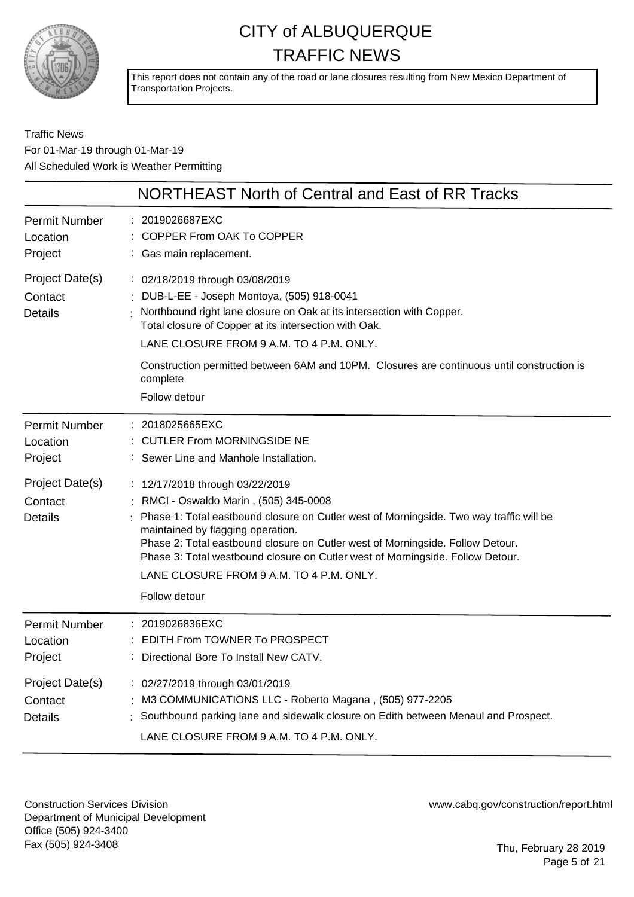

This report does not contain any of the road or lane closures resulting from New Mexico Department of Transportation Projects.

Traffic News For 01-Mar-19 through 01-Mar-19 All Scheduled Work is Weather Permitting

|                                                                                             | NORTHEAST North of Central and East of RR Tracks                                                                                                                                                                                                                                                                                                                                                                                                                                                                                             |
|---------------------------------------------------------------------------------------------|----------------------------------------------------------------------------------------------------------------------------------------------------------------------------------------------------------------------------------------------------------------------------------------------------------------------------------------------------------------------------------------------------------------------------------------------------------------------------------------------------------------------------------------------|
| <b>Permit Number</b><br>Location<br>Project                                                 | : 2019026687EXC<br>COPPER From OAK To COPPER<br>: Gas main replacement.                                                                                                                                                                                                                                                                                                                                                                                                                                                                      |
| Project Date(s)<br>Contact<br><b>Details</b>                                                | : 02/18/2019 through 03/08/2019<br>DUB-L-EE - Joseph Montoya, (505) 918-0041<br>Northbound right lane closure on Oak at its intersection with Copper.<br>Total closure of Copper at its intersection with Oak.<br>LANE CLOSURE FROM 9 A.M. TO 4 P.M. ONLY.<br>Construction permitted between 6AM and 10PM. Closures are continuous until construction is<br>complete<br>Follow detour                                                                                                                                                        |
| <b>Permit Number</b><br>Location<br>Project<br>Project Date(s)<br>Contact<br><b>Details</b> | : 2018025665EXC<br><b>CUTLER From MORNINGSIDE NE</b><br>: Sewer Line and Manhole Installation.<br>: 12/17/2018 through 03/22/2019<br>: RMCI - Oswaldo Marin, (505) 345-0008<br>Phase 1: Total eastbound closure on Cutler west of Morningside. Two way traffic will be<br>maintained by flagging operation.<br>Phase 2: Total eastbound closure on Cutler west of Morningside. Follow Detour.<br>Phase 3: Total westbound closure on Cutler west of Morningside. Follow Detour.<br>LANE CLOSURE FROM 9 A.M. TO 4 P.M. ONLY.<br>Follow detour |
| <b>Permit Number</b><br>Location<br>Project                                                 | 2019026836EXC<br>EDITH From TOWNER To PROSPECT<br>Directional Bore To Install New CATV.                                                                                                                                                                                                                                                                                                                                                                                                                                                      |
| Project Date(s)<br>Contact<br><b>Details</b>                                                | : 02/27/2019 through 03/01/2019<br>M3 COMMUNICATIONS LLC - Roberto Magana, (505) 977-2205<br>Southbound parking lane and sidewalk closure on Edith between Menaul and Prospect.<br>LANE CLOSURE FROM 9 A.M. TO 4 P.M. ONLY.                                                                                                                                                                                                                                                                                                                  |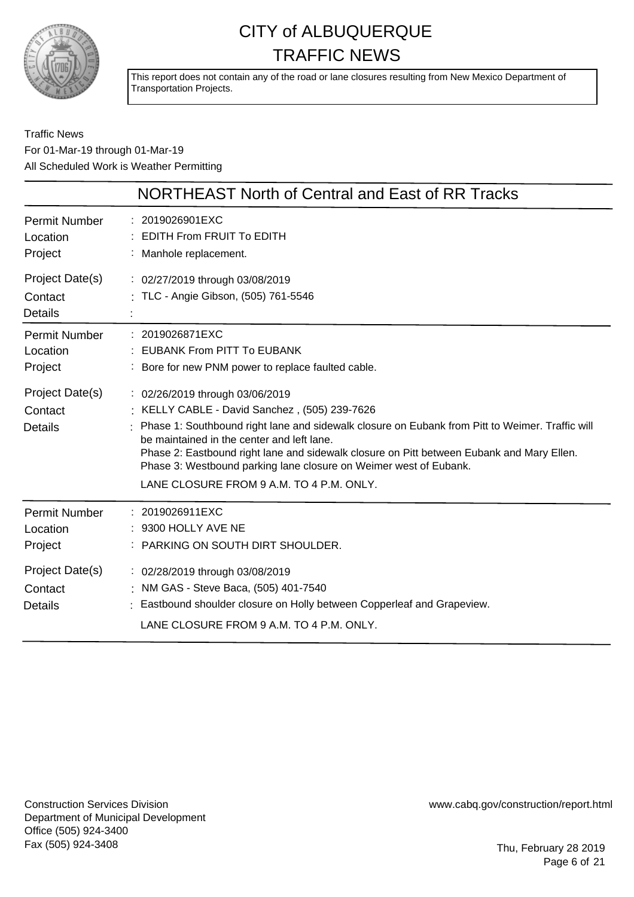

This report does not contain any of the road or lane closures resulting from New Mexico Department of Transportation Projects.

Traffic News For 01-Mar-19 through 01-Mar-19 All Scheduled Work is Weather Permitting

|                                              | NORTHEAST North of Central and East of RR Tracks                                                                                                                                                                                                                                                                                                                                                                                                |
|----------------------------------------------|-------------------------------------------------------------------------------------------------------------------------------------------------------------------------------------------------------------------------------------------------------------------------------------------------------------------------------------------------------------------------------------------------------------------------------------------------|
| <b>Permit Number</b><br>Location<br>Project  | : 2019026901EXC<br>$:$ EDITH From FRUIT To EDITH<br>: Manhole replacement.                                                                                                                                                                                                                                                                                                                                                                      |
| Project Date(s)<br>Contact<br><b>Details</b> | : 02/27/2019 through 03/08/2019<br>: TLC - Angie Gibson, (505) 761-5546                                                                                                                                                                                                                                                                                                                                                                         |
| <b>Permit Number</b><br>Location<br>Project  | : 2019026871EXC<br><b>EUBANK From PITT To EUBANK</b><br>Bore for new PNM power to replace faulted cable.                                                                                                                                                                                                                                                                                                                                        |
| Project Date(s)<br>Contact<br><b>Details</b> | : 02/26/2019 through 03/06/2019<br>: KELLY CABLE - David Sanchez, (505) 239-7626<br>Phase 1: Southbound right lane and sidewalk closure on Eubank from Pitt to Weimer. Traffic will<br>be maintained in the center and left lane.<br>Phase 2: Eastbound right lane and sidewalk closure on Pitt between Eubank and Mary Ellen.<br>Phase 3: Westbound parking lane closure on Weimer west of Eubank.<br>LANE CLOSURE FROM 9 A.M. TO 4 P.M. ONLY. |
| <b>Permit Number</b><br>Location<br>Project  | : 2019026911EXC<br>: 9300 HOLLY AVE NE<br>: PARKING ON SOUTH DIRT SHOULDER.                                                                                                                                                                                                                                                                                                                                                                     |
| Project Date(s)<br>Contact<br><b>Details</b> | : 02/28/2019 through 03/08/2019<br>: NM GAS - Steve Baca, (505) 401-7540<br>: Eastbound shoulder closure on Holly between Copperleaf and Grapeview.<br>LANE CLOSURE FROM 9 A.M. TO 4 P.M. ONLY.                                                                                                                                                                                                                                                 |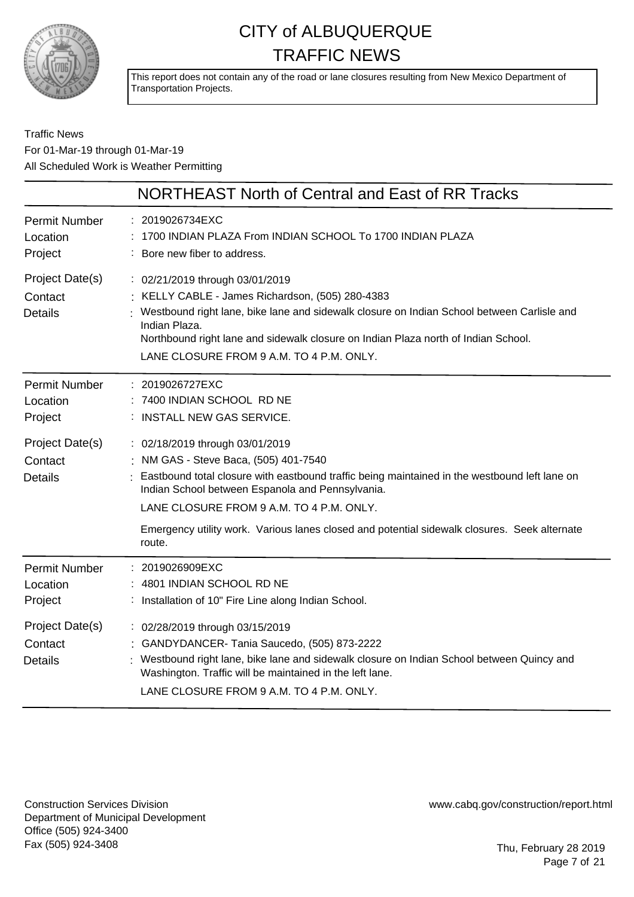

This report does not contain any of the road or lane closures resulting from New Mexico Department of Transportation Projects.

### Traffic News For 01-Mar-19 through 01-Mar-19 All Scheduled Work is Weather Permitting

|                                              | NORTHEAST North of Central and East of RR Tracks                                                                                                                                                                                                                                                                                                                        |
|----------------------------------------------|-------------------------------------------------------------------------------------------------------------------------------------------------------------------------------------------------------------------------------------------------------------------------------------------------------------------------------------------------------------------------|
| <b>Permit Number</b><br>Location<br>Project  | 2019026734EXC<br>1700 INDIAN PLAZA From INDIAN SCHOOL To 1700 INDIAN PLAZA<br>Bore new fiber to address.                                                                                                                                                                                                                                                                |
| Project Date(s)<br>Contact<br><b>Details</b> | : 02/21/2019 through 03/01/2019<br>KELLY CABLE - James Richardson, (505) 280-4383<br>Westbound right lane, bike lane and sidewalk closure on Indian School between Carlisle and<br>Indian Plaza.<br>Northbound right lane and sidewalk closure on Indian Plaza north of Indian School.<br>LANE CLOSURE FROM 9 A.M. TO 4 P.M. ONLY.                                      |
| <b>Permit Number</b><br>Location<br>Project  | : 2019026727EXC<br>7400 INDIAN SCHOOL RD NE<br><b>INSTALL NEW GAS SERVICE.</b>                                                                                                                                                                                                                                                                                          |
| Project Date(s)<br>Contact<br><b>Details</b> | : 02/18/2019 through 03/01/2019<br>NM GAS - Steve Baca, (505) 401-7540<br>Eastbound total closure with eastbound traffic being maintained in the westbound left lane on<br>Indian School between Espanola and Pennsylvania.<br>LANE CLOSURE FROM 9 A.M. TO 4 P.M. ONLY.<br>Emergency utility work. Various lanes closed and potential sidewalk closures. Seek alternate |
|                                              | route.                                                                                                                                                                                                                                                                                                                                                                  |
| <b>Permit Number</b><br>Location<br>Project  | : 2019026909EXC<br>4801 INDIAN SCHOOL RD NE<br>: Installation of 10" Fire Line along Indian School.                                                                                                                                                                                                                                                                     |
| Project Date(s)<br>Contact<br><b>Details</b> | : 02/28/2019 through 03/15/2019<br>: GANDYDANCER- Tania Saucedo, (505) 873-2222<br>Westbound right lane, bike lane and sidewalk closure on Indian School between Quincy and<br>Washington. Traffic will be maintained in the left lane.<br>LANE CLOSURE FROM 9 A.M. TO 4 P.M. ONLY.                                                                                     |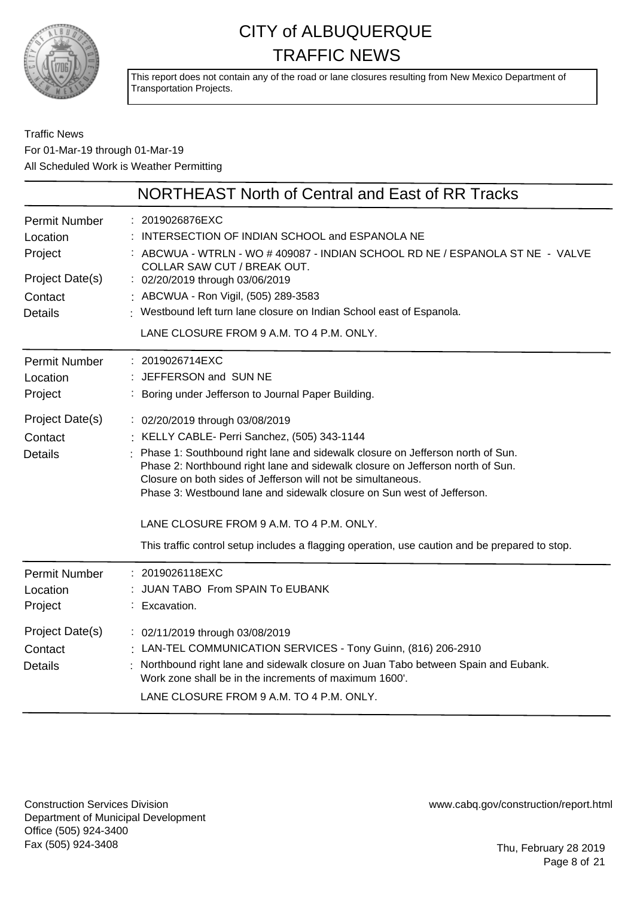

This report does not contain any of the road or lane closures resulting from New Mexico Department of Transportation Projects.

### Traffic News For 01-Mar-19 through 01-Mar-19 All Scheduled Work is Weather Permitting

|                                                                                             | NORTHEAST North of Central and East of RR Tracks                                                                                                                                                                                                                                                                                                                                                                                                                                                                                            |
|---------------------------------------------------------------------------------------------|---------------------------------------------------------------------------------------------------------------------------------------------------------------------------------------------------------------------------------------------------------------------------------------------------------------------------------------------------------------------------------------------------------------------------------------------------------------------------------------------------------------------------------------------|
| <b>Permit Number</b><br>Location<br>Project<br>Project Date(s)<br>Contact<br><b>Details</b> | : 2019026876EXC<br>INTERSECTION OF INDIAN SCHOOL and ESPANOLA NE<br>: ABCWUA - WTRLN - WO # 409087 - INDIAN SCHOOL RD NE / ESPANOLA ST NE - VALVE<br>COLLAR SAW CUT / BREAK OUT.<br>: 02/20/2019 through 03/06/2019<br>: ABCWUA - Ron Vigil, (505) 289-3583<br>: Westbound left turn lane closure on Indian School east of Espanola.<br>LANE CLOSURE FROM 9 A.M. TO 4 P.M. ONLY.                                                                                                                                                            |
| <b>Permit Number</b><br>Location<br>Project                                                 | : 2019026714EXC<br>: JEFFERSON and SUN NE<br>: Boring under Jefferson to Journal Paper Building.                                                                                                                                                                                                                                                                                                                                                                                                                                            |
| Project Date(s)<br>Contact<br><b>Details</b>                                                | : 02/20/2019 through 03/08/2019<br>: KELLY CABLE- Perri Sanchez, (505) 343-1144<br>Phase 1: Southbound right lane and sidewalk closure on Jefferson north of Sun.<br>Phase 2: Northbound right lane and sidewalk closure on Jefferson north of Sun.<br>Closure on both sides of Jefferson will not be simultaneous.<br>Phase 3: Westbound lane and sidewalk closure on Sun west of Jefferson.<br>LANE CLOSURE FROM 9 A.M. TO 4 P.M. ONLY.<br>This traffic control setup includes a flagging operation, use caution and be prepared to stop. |
| <b>Permit Number</b><br>Location<br>Project                                                 | : 2019026118EXC<br>JUAN TABO From SPAIN To EUBANK<br>Excavation.                                                                                                                                                                                                                                                                                                                                                                                                                                                                            |
| Project Date(s)<br>Contact<br><b>Details</b>                                                | : 02/11/2019 through 03/08/2019<br>: LAN-TEL COMMUNICATION SERVICES - Tony Guinn, (816) 206-2910<br>Northbound right lane and sidewalk closure on Juan Tabo between Spain and Eubank.<br>Work zone shall be in the increments of maximum 1600'.<br>LANE CLOSURE FROM 9 A.M. TO 4 P.M. ONLY.                                                                                                                                                                                                                                                 |

Construction Services Division Department of Municipal Development Office (505) 924-3400 Fax (505) 924-3408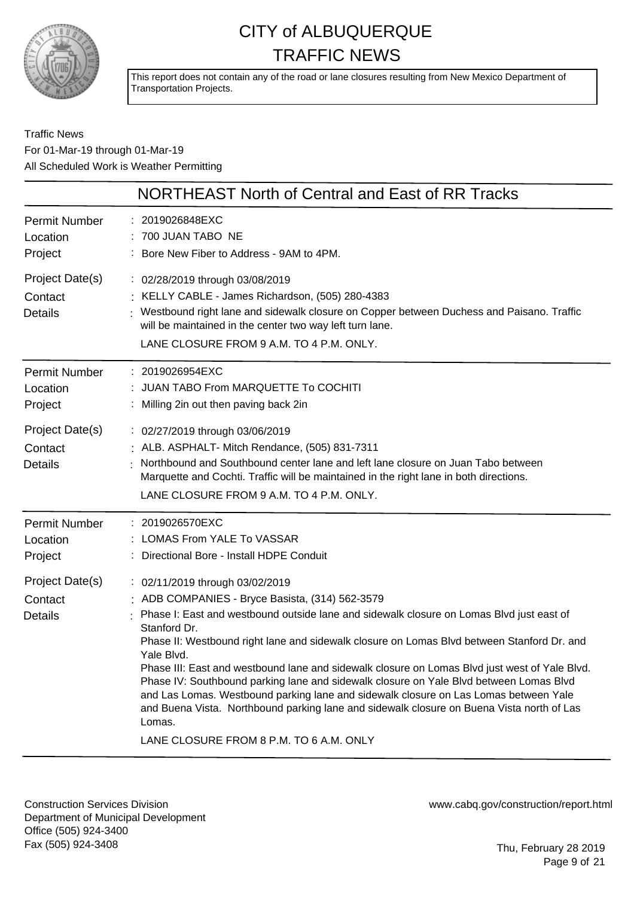

This report does not contain any of the road or lane closures resulting from New Mexico Department of Transportation Projects.

### Traffic News For 01-Mar-19 through 01-Mar-19 All Scheduled Work is Weather Permitting

|                                                                                      | NORTHEAST North of Central and East of RR Tracks                                                                                                                                                                                                                                                                                                                                                                                                |
|--------------------------------------------------------------------------------------|-------------------------------------------------------------------------------------------------------------------------------------------------------------------------------------------------------------------------------------------------------------------------------------------------------------------------------------------------------------------------------------------------------------------------------------------------|
| Permit Number<br>Location<br>Project                                                 | : 2019026848EXC<br>: 700 JUAN TABO NE<br>: Bore New Fiber to Address - 9AM to 4PM.                                                                                                                                                                                                                                                                                                                                                              |
| Project Date(s)<br>Contact<br><b>Details</b>                                         | : 02/28/2019 through 03/08/2019<br>: KELLY CABLE - James Richardson, (505) 280-4383<br>: Westbound right lane and sidewalk closure on Copper between Duchess and Paisano. Traffic<br>will be maintained in the center two way left turn lane.<br>LANE CLOSURE FROM 9 A.M. TO 4 P.M. ONLY.                                                                                                                                                       |
| Permit Number<br>Location<br>Project                                                 | : 2019026954EXC<br>JUAN TABO From MARQUETTE To COCHITI<br>: Milling 2in out then paving back 2in                                                                                                                                                                                                                                                                                                                                                |
| Project Date(s)<br>Contact<br><b>Details</b>                                         | : 02/27/2019 through 03/06/2019<br>: ALB. ASPHALT- Mitch Rendance, (505) 831-7311<br>Northbound and Southbound center lane and left lane closure on Juan Tabo between<br>Marquette and Cochti. Traffic will be maintained in the right lane in both directions.<br>LANE CLOSURE FROM 9 A.M. TO 4 P.M. ONLY.                                                                                                                                     |
| Permit Number<br>Location<br>Project<br>Project Date(s)<br>Contact<br><b>Details</b> | : 2019026570EXC<br>: LOMAS From YALE To VASSAR<br>: Directional Bore - Install HDPE Conduit<br>: 02/11/2019 through 03/02/2019<br>: ADB COMPANIES - Bryce Basista, (314) 562-3579<br>Phase I: East and westbound outside lane and sidewalk closure on Lomas Blvd just east of<br>Stanford Dr.<br>Phase II: Westbound right lane and sidewalk closure on Lomas Blvd between Stanford Dr. and                                                     |
|                                                                                      | Yale Blvd.<br>Phase III: East and westbound lane and sidewalk closure on Lomas Blvd just west of Yale Blvd.<br>Phase IV: Southbound parking lane and sidewalk closure on Yale Blvd between Lomas Blvd<br>and Las Lomas. Westbound parking lane and sidewalk closure on Las Lomas between Yale<br>and Buena Vista. Northbound parking lane and sidewalk closure on Buena Vista north of Las<br>Lomas.<br>LANE CLOSURE FROM 8 P.M. TO 6 A.M. ONLY |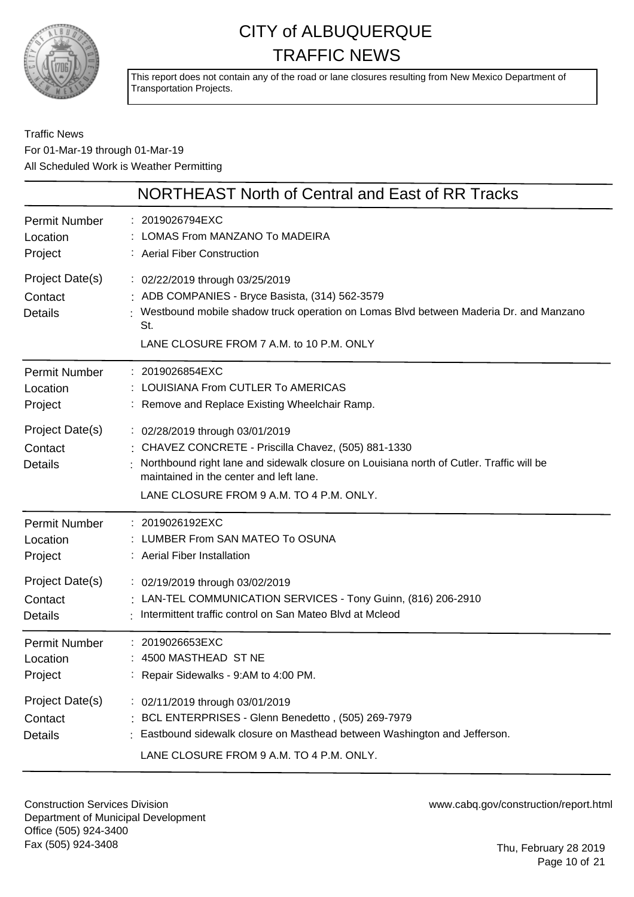

This report does not contain any of the road or lane closures resulting from New Mexico Department of Transportation Projects.

### Traffic News For 01-Mar-19 through 01-Mar-19 All Scheduled Work is Weather Permitting

|                                              | NORTHEAST North of Central and East of RR Tracks                                                                                                                                                                                                                           |
|----------------------------------------------|----------------------------------------------------------------------------------------------------------------------------------------------------------------------------------------------------------------------------------------------------------------------------|
| Permit Number                                | : 2019026794EXC                                                                                                                                                                                                                                                            |
| Location                                     | : LOMAS From MANZANO To MADEIRA                                                                                                                                                                                                                                            |
| Project                                      | : Aerial Fiber Construction                                                                                                                                                                                                                                                |
| Project Date(s)<br>Contact<br><b>Details</b> | : 02/22/2019 through 03/25/2019<br>: ADB COMPANIES - Bryce Basista, (314) 562-3579<br>Westbound mobile shadow truck operation on Lomas Blvd between Maderia Dr. and Manzano<br>St.<br>LANE CLOSURE FROM 7 A.M. to 10 P.M. ONLY                                             |
| Permit Number                                | : 2019026854EXC                                                                                                                                                                                                                                                            |
| Location                                     | : LOUISIANA From CUTLER To AMERICAS                                                                                                                                                                                                                                        |
| Project                                      | : Remove and Replace Existing Wheelchair Ramp.                                                                                                                                                                                                                             |
| Project Date(s)<br>Contact<br><b>Details</b> | : 02/28/2019 through 03/01/2019<br>: CHAVEZ CONCRETE - Priscilla Chavez, (505) 881-1330<br>Northbound right lane and sidewalk closure on Louisiana north of Cutler. Traffic will be<br>maintained in the center and left lane.<br>LANE CLOSURE FROM 9 A.M. TO 4 P.M. ONLY. |
| <b>Permit Number</b>                         | : 2019026192EXC                                                                                                                                                                                                                                                            |
| Location                                     | : LUMBER From SAN MATEO To OSUNA                                                                                                                                                                                                                                           |
| Project                                      | : Aerial Fiber Installation                                                                                                                                                                                                                                                |
| Project Date(s)                              | : 02/19/2019 through 03/02/2019                                                                                                                                                                                                                                            |
| Contact                                      | : LAN-TEL COMMUNICATION SERVICES - Tony Guinn, (816) 206-2910                                                                                                                                                                                                              |
| <b>Details</b>                               | : Intermittent traffic control on San Mateo Blvd at Mcleod                                                                                                                                                                                                                 |
| Permit Number                                | : 2019026653EXC                                                                                                                                                                                                                                                            |
| Location                                     | : 4500 MASTHEAD  ST NE                                                                                                                                                                                                                                                     |
| Project                                      | : Repair Sidewalks - 9:AM to 4:00 PM.                                                                                                                                                                                                                                      |
| Project Date(s)<br>Contact<br><b>Details</b> | : 02/11/2019 through 03/01/2019<br>: BCL ENTERPRISES - Glenn Benedetto, (505) 269-7979<br>Eastbound sidewalk closure on Masthead between Washington and Jefferson.<br>LANE CLOSURE FROM 9 A.M. TO 4 P.M. ONLY.                                                             |

Construction Services Division Department of Municipal Development Office (505) 924-3400 Fax (505) 924-3408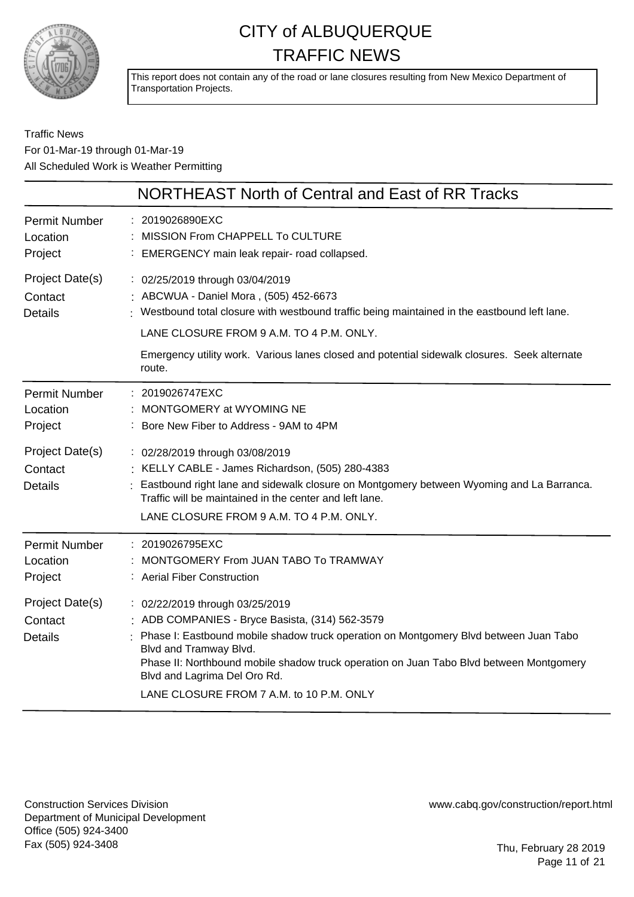

This report does not contain any of the road or lane closures resulting from New Mexico Department of Transportation Projects.

### Traffic News For 01-Mar-19 through 01-Mar-19 All Scheduled Work is Weather Permitting

|                                                                                             | NORTHEAST North of Central and East of RR Tracks                                                                                                                                                                                                                                                                                                                           |
|---------------------------------------------------------------------------------------------|----------------------------------------------------------------------------------------------------------------------------------------------------------------------------------------------------------------------------------------------------------------------------------------------------------------------------------------------------------------------------|
| <b>Permit Number</b><br>Location<br>Project                                                 | : 2019026890EXC<br>MISSION From CHAPPELL To CULTURE<br>: EMERGENCY main leak repair- road collapsed.                                                                                                                                                                                                                                                                       |
| Project Date(s)<br>Contact<br><b>Details</b>                                                | : 02/25/2019 through 03/04/2019<br>ABCWUA - Daniel Mora, (505) 452-6673<br>Westbound total closure with westbound traffic being maintained in the eastbound left lane.<br>LANE CLOSURE FROM 9 A.M. TO 4 P.M. ONLY.                                                                                                                                                         |
|                                                                                             | Emergency utility work. Various lanes closed and potential sidewalk closures. Seek alternate<br>route.                                                                                                                                                                                                                                                                     |
| <b>Permit Number</b><br>Location<br>Project<br>Project Date(s)<br>Contact<br><b>Details</b> | 2019026747EXC<br>MONTGOMERY at WYOMING NE<br>Bore New Fiber to Address - 9AM to 4PM<br>: 02/28/2019 through 03/08/2019<br>KELLY CABLE - James Richardson, (505) 280-4383<br>Eastbound right lane and sidewalk closure on Montgomery between Wyoming and La Barranca.<br>Traffic will be maintained in the center and left lane.                                            |
| <b>Permit Number</b><br>Location                                                            | LANE CLOSURE FROM 9 A.M. TO 4 P.M. ONLY.<br>2019026795EXC<br>MONTGOMERY From JUAN TABO To TRAMWAY<br><b>Aerial Fiber Construction</b>                                                                                                                                                                                                                                      |
| Project<br>Project Date(s)<br>Contact<br><b>Details</b>                                     | : 02/22/2019 through 03/25/2019<br>ADB COMPANIES - Bryce Basista, (314) 562-3579<br>Phase I: Eastbound mobile shadow truck operation on Montgomery Blvd between Juan Tabo<br>Blvd and Tramway Blvd.<br>Phase II: Northbound mobile shadow truck operation on Juan Tabo Blvd between Montgomery<br>Blvd and Lagrima Del Oro Rd.<br>LANE CLOSURE FROM 7 A.M. to 10 P.M. ONLY |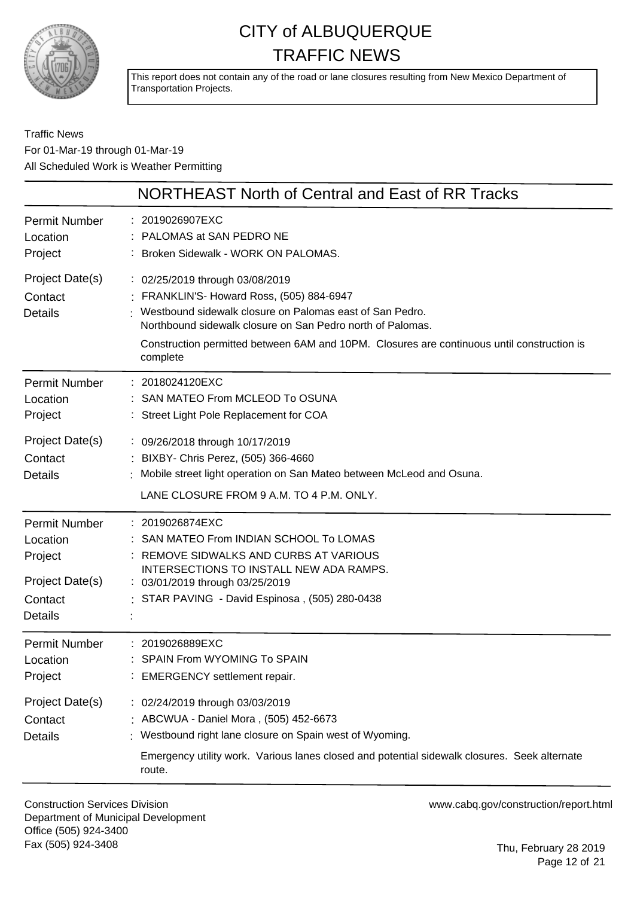

This report does not contain any of the road or lane closures resulting from New Mexico Department of Transportation Projects.

Traffic News For 01-Mar-19 through 01-Mar-19 All Scheduled Work is Weather Permitting

|                                              | NORTHEAST North of Central and East of RR Tracks                                                                                                                                                                                                                                                                 |
|----------------------------------------------|------------------------------------------------------------------------------------------------------------------------------------------------------------------------------------------------------------------------------------------------------------------------------------------------------------------|
| <b>Permit Number</b>                         | : 2019026907EXC                                                                                                                                                                                                                                                                                                  |
| Location                                     | : PALOMAS at SAN PEDRO NE                                                                                                                                                                                                                                                                                        |
| Project                                      | : Broken Sidewalk - WORK ON PALOMAS.                                                                                                                                                                                                                                                                             |
| Project Date(s)<br>Contact<br><b>Details</b> | : 02/25/2019 through 03/08/2019<br>: FRANKLIN'S- Howard Ross, (505) 884-6947<br>Westbound sidewalk closure on Palomas east of San Pedro.<br>Northbound sidewalk closure on San Pedro north of Palomas.<br>Construction permitted between 6AM and 10PM. Closures are continuous until construction is<br>complete |
| <b>Permit Number</b>                         | : 2018024120EXC                                                                                                                                                                                                                                                                                                  |
| Location                                     | : SAN MATEO From MCLEOD To OSUNA                                                                                                                                                                                                                                                                                 |
| Project                                      | : Street Light Pole Replacement for COA                                                                                                                                                                                                                                                                          |
| Project Date(s)<br>Contact<br><b>Details</b> | : 09/26/2018 through 10/17/2019<br>: BIXBY- Chris Perez, (505) 366-4660<br>Mobile street light operation on San Mateo between McLeod and Osuna.<br>LANE CLOSURE FROM 9 A.M. TO 4 P.M. ONLY.                                                                                                                      |
| <b>Permit Number</b>                         | : 2019026874EXC                                                                                                                                                                                                                                                                                                  |
| Location                                     | : SAN MATEO From INDIAN SCHOOL To LOMAS                                                                                                                                                                                                                                                                          |
| Project                                      | : REMOVE SIDWALKS AND CURBS AT VARIOUS                                                                                                                                                                                                                                                                           |
| Project Date(s)                              | INTERSECTIONS TO INSTALL NEW ADA RAMPS.                                                                                                                                                                                                                                                                          |
| Contact                                      | : 03/01/2019 through 03/25/2019                                                                                                                                                                                                                                                                                  |
| <b>Details</b>                               | : STAR PAVING - David Espinosa, (505) 280-0438                                                                                                                                                                                                                                                                   |
| <b>Permit Number</b>                         | : 2019026889EXC                                                                                                                                                                                                                                                                                                  |
| Location                                     | SPAIN From WYOMING To SPAIN                                                                                                                                                                                                                                                                                      |
| Project                                      | : EMERGENCY settlement repair.                                                                                                                                                                                                                                                                                   |
| Project Date(s)<br>Contact<br><b>Details</b> | : 02/24/2019 through 03/03/2019<br>: ABCWUA - Daniel Mora, (505) 452-6673<br>Westbound right lane closure on Spain west of Wyoming.<br>Emergency utility work. Various lanes closed and potential sidewalk closures. Seek alternate<br>route.                                                                    |

Construction Services Division Department of Municipal Development Office (505) 924-3400 Fax (505) 924-3408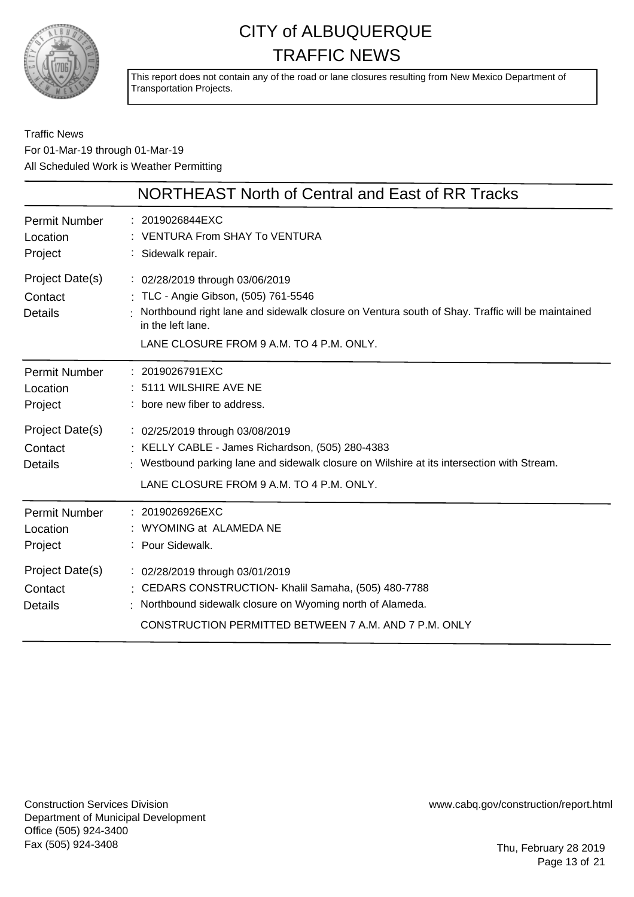

This report does not contain any of the road or lane closures resulting from New Mexico Department of Transportation Projects.

### Traffic News For 01-Mar-19 through 01-Mar-19 All Scheduled Work is Weather Permitting

|                                              | NORTHEAST North of Central and East of RR Tracks                                                                                                                                                                                            |
|----------------------------------------------|---------------------------------------------------------------------------------------------------------------------------------------------------------------------------------------------------------------------------------------------|
| <b>Permit Number</b><br>Location<br>Project  | : 2019026844EXC<br><b>VENTURA From SHAY To VENTURA</b><br>: Sidewalk repair.                                                                                                                                                                |
| Project Date(s)<br>Contact<br><b>Details</b> | : 02/28/2019 through 03/06/2019<br>: TLC - Angie Gibson, (505) 761-5546<br>Northbound right lane and sidewalk closure on Ventura south of Shay. Traffic will be maintained<br>in the left lane.<br>LANE CLOSURE FROM 9 A.M. TO 4 P.M. ONLY. |
| <b>Permit Number</b><br>Location<br>Project  | : 2019026791EXC<br>: 5111 WILSHIRE AVE NE<br>: bore new fiber to address.                                                                                                                                                                   |
| Project Date(s)<br>Contact<br><b>Details</b> | : 02/25/2019 through 03/08/2019<br>: KELLY CABLE - James Richardson, (505) 280-4383<br>: Westbound parking lane and sidewalk closure on Wilshire at its intersection with Stream.<br>LANE CLOSURE FROM 9 A.M. TO 4 P.M. ONLY.               |
| <b>Permit Number</b><br>Location<br>Project  | : 2019026926EXC<br>WYOMING at ALAMEDA NE<br>: Pour Sidewalk.                                                                                                                                                                                |
| Project Date(s)<br>Contact<br><b>Details</b> | : 02/28/2019 through 03/01/2019<br>: CEDARS CONSTRUCTION- Khalil Samaha, (505) 480-7788<br>Northbound sidewalk closure on Wyoming north of Alameda.<br>CONSTRUCTION PERMITTED BETWEEN 7 A.M. AND 7 P.M. ONLY                                |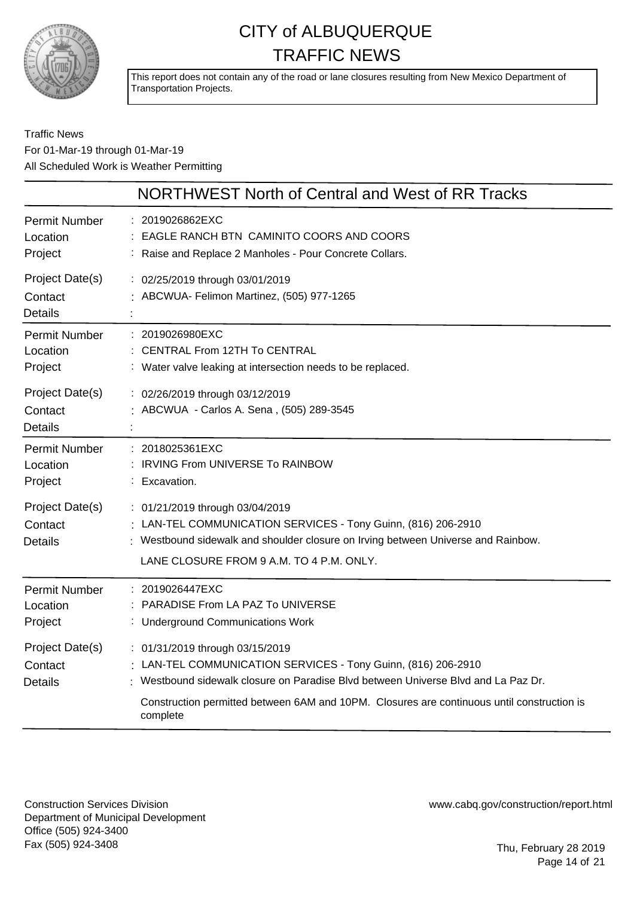

This report does not contain any of the road or lane closures resulting from New Mexico Department of Transportation Projects.

### Traffic News For 01-Mar-19 through 01-Mar-19 All Scheduled Work is Weather Permitting

|                                              | NORTHWEST North of Central and West of RR Tracks                                                                                                                                                                                                                                                 |
|----------------------------------------------|--------------------------------------------------------------------------------------------------------------------------------------------------------------------------------------------------------------------------------------------------------------------------------------------------|
| <b>Permit Number</b><br>Location<br>Project  | : 2019026862EXC<br>EAGLE RANCH BTN CAMINITO COORS AND COORS<br>: Raise and Replace 2 Manholes - Pour Concrete Collars.                                                                                                                                                                           |
| Project Date(s)<br>Contact<br><b>Details</b> | : 02/25/2019 through 03/01/2019<br>: ABCWUA- Felimon Martinez, (505) 977-1265                                                                                                                                                                                                                    |
| <b>Permit Number</b><br>Location<br>Project  | : 2019026980EXC<br><b>CENTRAL From 12TH To CENTRAL</b><br>: Water valve leaking at intersection needs to be replaced.                                                                                                                                                                            |
| Project Date(s)<br>Contact<br><b>Details</b> | : 02/26/2019 through 03/12/2019<br>ABCWUA - Carlos A. Sena, (505) 289-3545                                                                                                                                                                                                                       |
| <b>Permit Number</b><br>Location<br>Project  | : 2018025361EXC<br>: IRVING From UNIVERSE To RAINBOW<br>: Excavation.                                                                                                                                                                                                                            |
| Project Date(s)<br>Contact<br>Details        | : 01/21/2019 through 03/04/2019<br>: LAN-TEL COMMUNICATION SERVICES - Tony Guinn, (816) 206-2910<br>: Westbound sidewalk and shoulder closure on Irving between Universe and Rainbow.<br>LANE CLOSURE FROM 9 A.M. TO 4 P.M. ONLY.                                                                |
| <b>Permit Number</b><br>Location<br>Project  | : 2019026447EXC<br>PARADISE From LA PAZ To UNIVERSE<br>: Underground Communications Work                                                                                                                                                                                                         |
| Project Date(s)<br>Contact<br><b>Details</b> | : 01/31/2019 through 03/15/2019<br>: LAN-TEL COMMUNICATION SERVICES - Tony Guinn, (816) 206-2910<br>: Westbound sidewalk closure on Paradise Blvd between Universe Blvd and La Paz Dr.<br>Construction permitted between 6AM and 10PM. Closures are continuous until construction is<br>complete |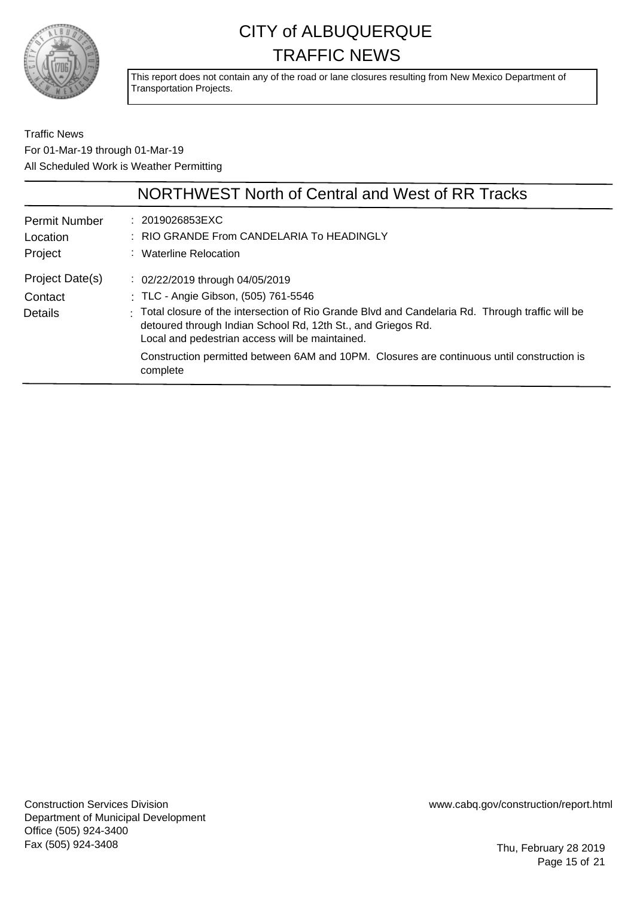

This report does not contain any of the road or lane closures resulting from New Mexico Department of Transportation Projects.

Traffic News For 01-Mar-19 through 01-Mar-19 All Scheduled Work is Weather Permitting

|                                             | NORTHWEST North of Central and West of RR Tracks                                                                                                                                                                   |
|---------------------------------------------|--------------------------------------------------------------------------------------------------------------------------------------------------------------------------------------------------------------------|
| <b>Permit Number</b><br>Location<br>Project | : 2019026853EXC<br>: RIO GRANDE From CANDELARIA To HEADINGLY<br>: Waterline Relocation                                                                                                                             |
| Project Date(s)                             | : 02/22/2019 through 04/05/2019                                                                                                                                                                                    |
| Contact                                     | : TLC - Angie Gibson, (505) 761-5546                                                                                                                                                                               |
| Details                                     | Total closure of the intersection of Rio Grande Blvd and Candelaria Rd. Through traffic will be<br>detoured through Indian School Rd, 12th St., and Griegos Rd.<br>Local and pedestrian access will be maintained. |
|                                             | Construction permitted between 6AM and 10PM. Closures are continuous until construction is<br>complete                                                                                                             |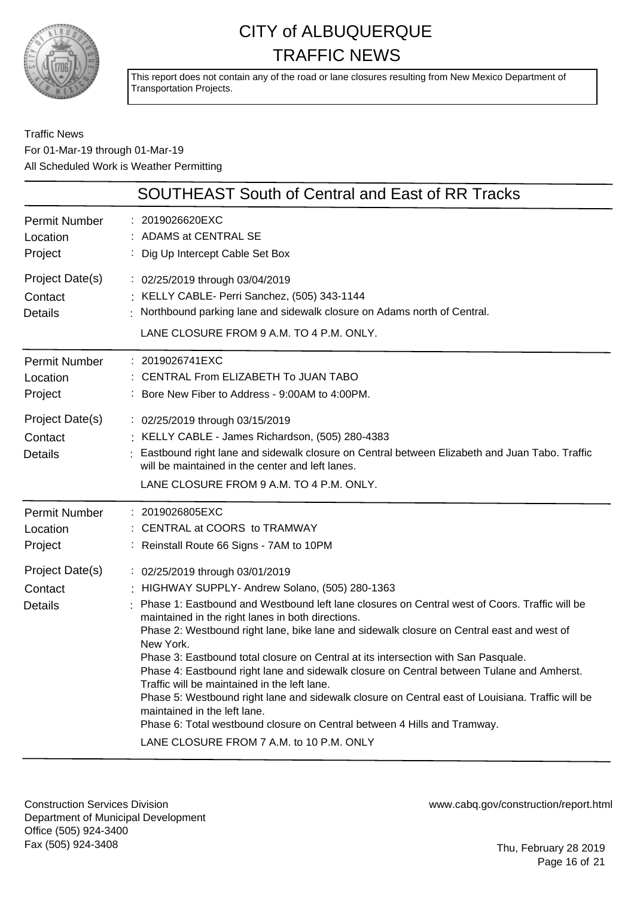

This report does not contain any of the road or lane closures resulting from New Mexico Department of Transportation Projects.

### Traffic News For 01-Mar-19 through 01-Mar-19 All Scheduled Work is Weather Permitting

| <b>SOUTHEAST South of Central and East of RR Tracks</b>                                                                                                                                                                                                                                                                                                                                                                                                                                                                                                                                                                                                                                                                                                                                                                                           |
|---------------------------------------------------------------------------------------------------------------------------------------------------------------------------------------------------------------------------------------------------------------------------------------------------------------------------------------------------------------------------------------------------------------------------------------------------------------------------------------------------------------------------------------------------------------------------------------------------------------------------------------------------------------------------------------------------------------------------------------------------------------------------------------------------------------------------------------------------|
| : 2019026620EXC<br>ADAMS at CENTRAL SE<br>Dig Up Intercept Cable Set Box                                                                                                                                                                                                                                                                                                                                                                                                                                                                                                                                                                                                                                                                                                                                                                          |
| : 02/25/2019 through 03/04/2019<br>: KELLY CABLE- Perri Sanchez, (505) 343-1144<br>Northbound parking lane and sidewalk closure on Adams north of Central.<br>LANE CLOSURE FROM 9 A.M. TO 4 P.M. ONLY.                                                                                                                                                                                                                                                                                                                                                                                                                                                                                                                                                                                                                                            |
| : 2019026741EXC<br>CENTRAL From ELIZABETH To JUAN TABO<br>: Bore New Fiber to Address - 9:00AM to 4:00PM.                                                                                                                                                                                                                                                                                                                                                                                                                                                                                                                                                                                                                                                                                                                                         |
| : 02/25/2019 through 03/15/2019<br>: KELLY CABLE - James Richardson, (505) 280-4383<br>Eastbound right lane and sidewalk closure on Central between Elizabeth and Juan Tabo. Traffic<br>will be maintained in the center and left lanes.<br>LANE CLOSURE FROM 9 A.M. TO 4 P.M. ONLY.                                                                                                                                                                                                                                                                                                                                                                                                                                                                                                                                                              |
| : 2019026805EXC<br>: CENTRAL at COORS to TRAMWAY<br>: Reinstall Route 66 Signs - 7AM to 10PM                                                                                                                                                                                                                                                                                                                                                                                                                                                                                                                                                                                                                                                                                                                                                      |
| : 02/25/2019 through 03/01/2019<br>: HIGHWAY SUPPLY- Andrew Solano, (505) 280-1363<br>Phase 1: Eastbound and Westbound left lane closures on Central west of Coors. Traffic will be<br>maintained in the right lanes in both directions.<br>Phase 2: Westbound right lane, bike lane and sidewalk closure on Central east and west of<br>New York.<br>Phase 3: Eastbound total closure on Central at its intersection with San Pasquale.<br>Phase 4: Eastbound right lane and sidewalk closure on Central between Tulane and Amherst.<br>Traffic will be maintained in the left lane.<br>Phase 5: Westbound right lane and sidewalk closure on Central east of Louisiana. Traffic will be<br>maintained in the left lane.<br>Phase 6: Total westbound closure on Central between 4 Hills and Tramway.<br>LANE CLOSURE FROM 7 A.M. to 10 P.M. ONLY |
|                                                                                                                                                                                                                                                                                                                                                                                                                                                                                                                                                                                                                                                                                                                                                                                                                                                   |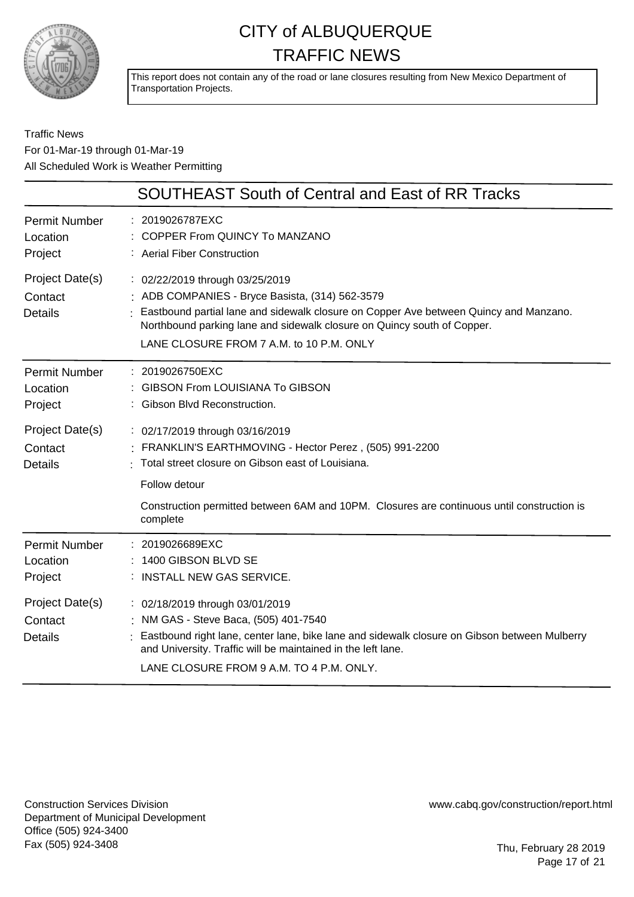

This report does not contain any of the road or lane closures resulting from New Mexico Department of Transportation Projects.

### Traffic News For 01-Mar-19 through 01-Mar-19 All Scheduled Work is Weather Permitting

|                                              | SOUTHEAST South of Central and East of RR Tracks                                                                                                                                                                                                                                                   |
|----------------------------------------------|----------------------------------------------------------------------------------------------------------------------------------------------------------------------------------------------------------------------------------------------------------------------------------------------------|
| <b>Permit Number</b><br>Location<br>Project  | : 2019026787EXC<br>COPPER From QUINCY To MANZANO<br>: Aerial Fiber Construction                                                                                                                                                                                                                    |
| Project Date(s)<br>Contact<br><b>Details</b> | : 02/22/2019 through 03/25/2019<br>: ADB COMPANIES - Bryce Basista, (314) 562-3579<br>Eastbound partial lane and sidewalk closure on Copper Ave between Quincy and Manzano.<br>Northbound parking lane and sidewalk closure on Quincy south of Copper.<br>LANE CLOSURE FROM 7 A.M. to 10 P.M. ONLY |
| <b>Permit Number</b><br>Location<br>Project  | : 2019026750EXC<br><b>GIBSON From LOUISIANA To GIBSON</b><br><b>Gibson Blvd Reconstruction.</b>                                                                                                                                                                                                    |
| Project Date(s)<br>Contact<br>Details        | : 02/17/2019 through 03/16/2019<br>FRANKLIN'S EARTHMOVING - Hector Perez, (505) 991-2200<br>Total street closure on Gibson east of Louisiana.<br>Follow detour                                                                                                                                     |
|                                              | Construction permitted between 6AM and 10PM. Closures are continuous until construction is<br>complete                                                                                                                                                                                             |
| <b>Permit Number</b><br>Location<br>Project  | : 2019026689EXC<br>1400 GIBSON BLVD SE<br>: INSTALL NEW GAS SERVICE.                                                                                                                                                                                                                               |
| Project Date(s)<br>Contact<br><b>Details</b> | : 02/18/2019 through 03/01/2019<br>NM GAS - Steve Baca, (505) 401-7540<br>Eastbound right lane, center lane, bike lane and sidewalk closure on Gibson between Mulberry<br>and University. Traffic will be maintained in the left lane.<br>LANE CLOSURE FROM 9 A.M. TO 4 P.M. ONLY.                 |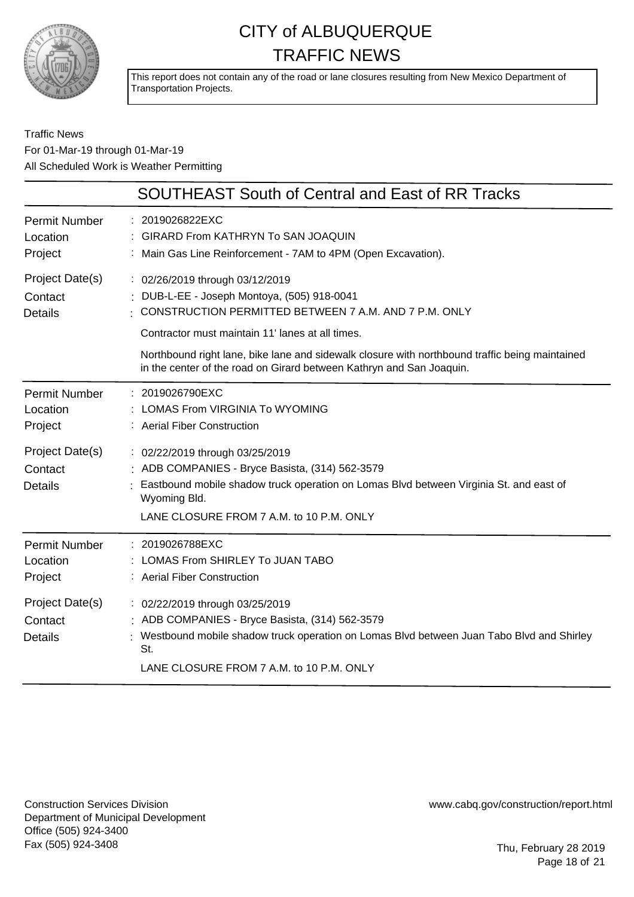

This report does not contain any of the road or lane closures resulting from New Mexico Department of Transportation Projects.

### Traffic News For 01-Mar-19 through 01-Mar-19 All Scheduled Work is Weather Permitting

|                                              | SOUTHEAST South of Central and East of RR Tracks                                                                                                                                                                                                                                                                                                                    |
|----------------------------------------------|---------------------------------------------------------------------------------------------------------------------------------------------------------------------------------------------------------------------------------------------------------------------------------------------------------------------------------------------------------------------|
| <b>Permit Number</b><br>Location<br>Project  | : 2019026822EXC<br><b>GIRARD From KATHRYN To SAN JOAQUIN</b><br>: Main Gas Line Reinforcement - 7AM to 4PM (Open Excavation).                                                                                                                                                                                                                                       |
| Project Date(s)<br>Contact<br><b>Details</b> | : 02/26/2019 through 03/12/2019<br>DUB-L-EE - Joseph Montoya, (505) 918-0041<br>CONSTRUCTION PERMITTED BETWEEN 7 A.M. AND 7 P.M. ONLY<br>Contractor must maintain 11' lanes at all times.<br>Northbound right lane, bike lane and sidewalk closure with northbound traffic being maintained<br>in the center of the road on Girard between Kathryn and San Joaquin. |
| <b>Permit Number</b><br>Location<br>Project  | : 2019026790EXC<br><b>LOMAS From VIRGINIA To WYOMING</b><br>: Aerial Fiber Construction                                                                                                                                                                                                                                                                             |
| Project Date(s)<br>Contact<br><b>Details</b> | : 02/22/2019 through 03/25/2019<br>: ADB COMPANIES - Bryce Basista, (314) 562-3579<br>Eastbound mobile shadow truck operation on Lomas Blvd between Virginia St. and east of<br>Wyoming Bld.<br>LANE CLOSURE FROM 7 A.M. to 10 P.M. ONLY                                                                                                                            |
| <b>Permit Number</b><br>Location<br>Project  | : 2019026788EXC<br>LOMAS From SHIRLEY To JUAN TABO<br>: Aerial Fiber Construction                                                                                                                                                                                                                                                                                   |
| Project Date(s)<br>Contact<br><b>Details</b> | : 02/22/2019 through 03/25/2019<br>ADB COMPANIES - Bryce Basista, (314) 562-3579<br>Westbound mobile shadow truck operation on Lomas Blvd between Juan Tabo Blvd and Shirley<br>St.<br>LANE CLOSURE FROM 7 A.M. to 10 P.M. ONLY                                                                                                                                     |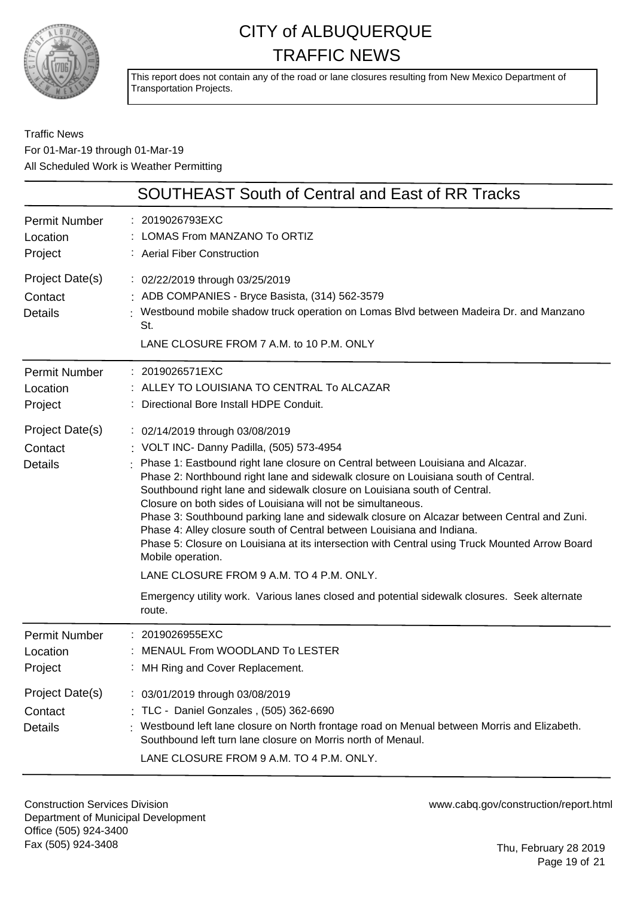

This report does not contain any of the road or lane closures resulting from New Mexico Department of Transportation Projects.

### Traffic News For 01-Mar-19 through 01-Mar-19 All Scheduled Work is Weather Permitting

|                                              | SOUTHEAST South of Central and East of RR Tracks                                                                                                                                                                                                                                                                                                                                                                                                                                                                                                                                                                                                                                                                                                                                                                                                          |
|----------------------------------------------|-----------------------------------------------------------------------------------------------------------------------------------------------------------------------------------------------------------------------------------------------------------------------------------------------------------------------------------------------------------------------------------------------------------------------------------------------------------------------------------------------------------------------------------------------------------------------------------------------------------------------------------------------------------------------------------------------------------------------------------------------------------------------------------------------------------------------------------------------------------|
| <b>Permit Number</b><br>Location<br>Project  | : 2019026793EXC<br>LOMAS From MANZANO To ORTIZ<br>: Aerial Fiber Construction                                                                                                                                                                                                                                                                                                                                                                                                                                                                                                                                                                                                                                                                                                                                                                             |
| Project Date(s)<br>Contact<br><b>Details</b> | : 02/22/2019 through 03/25/2019<br>: ADB COMPANIES - Bryce Basista, (314) 562-3579<br>: Westbound mobile shadow truck operation on Lomas Blvd between Madeira Dr. and Manzano<br>St.<br>LANE CLOSURE FROM 7 A.M. to 10 P.M. ONLY                                                                                                                                                                                                                                                                                                                                                                                                                                                                                                                                                                                                                          |
| <b>Permit Number</b><br>Location<br>Project  | : 2019026571EXC<br>: ALLEY TO LOUISIANA TO CENTRAL To ALCAZAR<br>: Directional Bore Install HDPE Conduit.                                                                                                                                                                                                                                                                                                                                                                                                                                                                                                                                                                                                                                                                                                                                                 |
| Project Date(s)<br>Contact<br><b>Details</b> | : 02/14/2019 through 03/08/2019<br>: VOLT INC- Danny Padilla, (505) 573-4954<br>: Phase 1: Eastbound right lane closure on Central between Louisiana and Alcazar.<br>Phase 2: Northbound right lane and sidewalk closure on Louisiana south of Central.<br>Southbound right lane and sidewalk closure on Louisiana south of Central.<br>Closure on both sides of Louisiana will not be simultaneous.<br>Phase 3: Southbound parking lane and sidewalk closure on Alcazar between Central and Zuni.<br>Phase 4: Alley closure south of Central between Louisiana and Indiana.<br>Phase 5: Closure on Louisiana at its intersection with Central using Truck Mounted Arrow Board<br>Mobile operation.<br>LANE CLOSURE FROM 9 A.M. TO 4 P.M. ONLY.<br>Emergency utility work. Various lanes closed and potential sidewalk closures. Seek alternate<br>route. |
| <b>Permit Number</b><br>Location<br>Project  | : 2019026955EXC<br>MENAUL From WOODLAND To LESTER<br>: MH Ring and Cover Replacement.                                                                                                                                                                                                                                                                                                                                                                                                                                                                                                                                                                                                                                                                                                                                                                     |
| Project Date(s)<br>Contact<br><b>Details</b> | : 03/01/2019 through 03/08/2019<br>: TLC - Daniel Gonzales, (505) 362-6690<br>Westbound left lane closure on North frontage road on Menual between Morris and Elizabeth.<br>Southbound left turn lane closure on Morris north of Menaul.<br>LANE CLOSURE FROM 9 A.M. TO 4 P.M. ONLY.                                                                                                                                                                                                                                                                                                                                                                                                                                                                                                                                                                      |

Construction Services Division Department of Municipal Development Office (505) 924-3400 Fax (505) 924-3408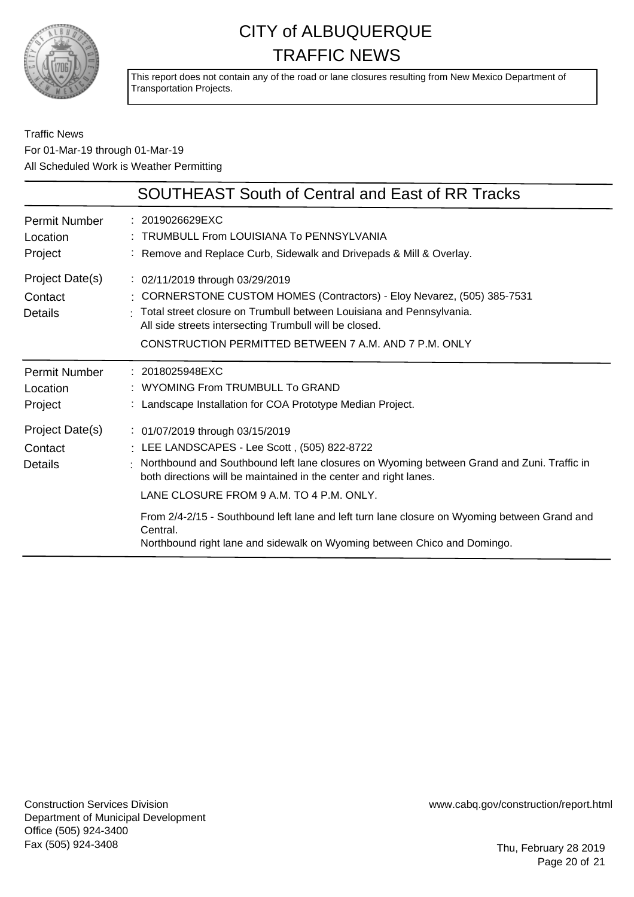

This report does not contain any of the road or lane closures resulting from New Mexico Department of Transportation Projects.

### Traffic News For 01-Mar-19 through 01-Mar-19 All Scheduled Work is Weather Permitting

| <b>SOUTHEAST South of Central and East of RR Tracks</b>                                                                                                                                                                                                                                                                                                                                                                                                                                |
|----------------------------------------------------------------------------------------------------------------------------------------------------------------------------------------------------------------------------------------------------------------------------------------------------------------------------------------------------------------------------------------------------------------------------------------------------------------------------------------|
| : 2019026629EXC<br>TRUMBULL From LOUISIANA To PENNSYLVANIA<br>: Remove and Replace Curb, Sidewalk and Drivepads & Mill & Overlay.                                                                                                                                                                                                                                                                                                                                                      |
| $\frac{1}{2}$ 02/11/2019 through 03/29/2019<br>: CORNERSTONE CUSTOM HOMES (Contractors) - Eloy Nevarez, (505) 385-7531<br>Total street closure on Trumbull between Louisiana and Pennsylvania.<br>All side streets intersecting Trumbull will be closed.<br>CONSTRUCTION PERMITTED BETWEEN 7 A.M. AND 7 P.M. ONLY                                                                                                                                                                      |
| : 2018025948EXC<br>WYOMING From TRUMBULL To GRAND<br>: Landscape Installation for COA Prototype Median Project.                                                                                                                                                                                                                                                                                                                                                                        |
| : 01/07/2019 through 03/15/2019<br>: LEE LANDSCAPES - Lee Scott, (505) 822-8722<br>Northbound and Southbound left lane closures on Wyoming between Grand and Zuni. Traffic in<br>both directions will be maintained in the center and right lanes.<br>LANE CLOSURE FROM 9 A.M. TO 4 P.M. ONLY.<br>From 2/4-2/15 - Southbound left lane and left turn lane closure on Wyoming between Grand and<br>Central.<br>Northbound right lane and sidewalk on Wyoming between Chico and Domingo. |
|                                                                                                                                                                                                                                                                                                                                                                                                                                                                                        |